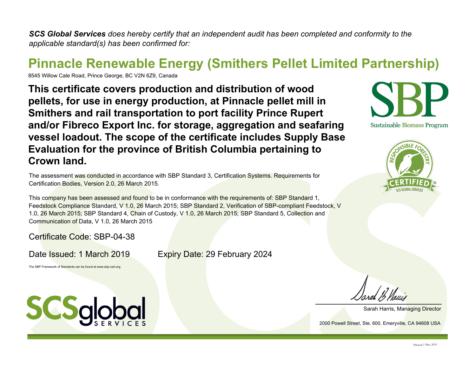*SCS Global Services does hereby certify that an independent audit has been completed and conformity to the applicable standard(s) has been confirmed for:*

## **Pinnacle Renewable Energy (Smithers Pellet Limited Partnership)**

8545 Willow Cale Road, Prince George, BC V2N 6Z9, Canada

**This certificate covers production and distribution of wood pellets, for use in energy production, at Pinnacle pellet mill in Smithers and rail transportation to port facility Prince Rupert and/or Fibreco Export Inc. for storage, aggregation and seafaring vessel loadout. The scope of the certificate includes Supply Base Evaluation for the province of British Columbia pertaining to Crown land.**

The assessment was conducted in accordance with SBP Standard 3, Certification Systems. Requirements for Certification Bodies, Version 2.0, 26 March 2015.

This company has been assessed and found to be in conformance with the requirements of: SBP Standard 1, Feedstock Compliance Standard, V 1.0, 26 March 2015; SBP Standard 2, Verification of SBP-compliant Feedstock, V 1.0, 26 March 2015; SBP Standard 4, Chain of Custody, V 1.0, 26 March 2015; SBP Standard 5, Collection and Communication of Data, V 1.0, 26 March 2015

Certificate Code: SBP-04-38

Date Issued: 1 March 2019 Expiry Date: 29 February 2024

The SBP Framework of Standards can be found at www.sbp-cert.org.







Sarah Harris, Managing Director

2000 Powell Street, Ste. 600, Emeryville, CA 94608 USA